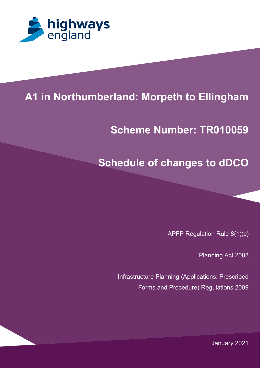

## 1 **A1 in Northumberland: Morpeth to Ellingham**

## **PROJECT TITLE Scheme Number: TR010059**

## **Schedule of changes to dDCO**

APFP Regulation Rule 8(1)(c)

Planning Act 2008

Infrastructure Planning (Applications: Prescribed Forms and Procedure) Regulations 2009

January 2021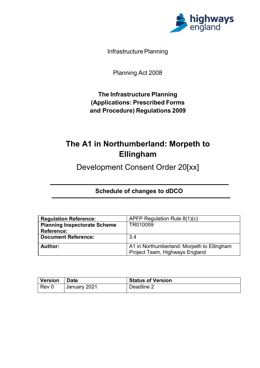

Infrastructure Planning

Planning Act 2008

**The Infrastructure Planning (Applications: Prescribed Forms and Procedure) Regulations 2009**

## **The A1 in Northumberland: Morpeth to Ellingham**

Development Consent Order 20[xx]

 **Schedule of changes to dDCO**

| <b>Regulation Reference:</b>        | APFP Regulation Rule 8(1)(c)                                                 |
|-------------------------------------|------------------------------------------------------------------------------|
| <b>Planning Inspectorate Scheme</b> | TR010059                                                                     |
| <b>Reference:</b>                   |                                                                              |
| <b>Document Reference:</b>          | 3.4                                                                          |
| Author:                             | A1 in Northumberland: Morpeth to Ellingham<br>Project Team, Highways England |

| <b>Version</b> | ' Date       | <b>Status of Version</b> |
|----------------|--------------|--------------------------|
| $ $ Rev 0      | January 2021 | Deadline 2               |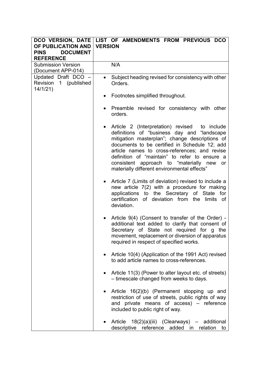| DCO VERSION, DATE<br>OF PUBLICATION AND<br><b>DOCUMENT</b><br><b>PINS</b><br><b>REFERENCE</b> | LIST OF AMENDMENTS FROM PREVIOUS DCO<br><b>VERSION</b>                                                                                                                                                                                                                                                                                                                                                        |
|-----------------------------------------------------------------------------------------------|---------------------------------------------------------------------------------------------------------------------------------------------------------------------------------------------------------------------------------------------------------------------------------------------------------------------------------------------------------------------------------------------------------------|
| <b>Submission Version</b>                                                                     | N/A                                                                                                                                                                                                                                                                                                                                                                                                           |
| (Document APP-014)<br>Updated Draft DCO -<br>Revision 1 (published<br>14/1/21)                | Subject heading revised for consistency with other<br>Orders.                                                                                                                                                                                                                                                                                                                                                 |
|                                                                                               | Footnotes simplified throughout.                                                                                                                                                                                                                                                                                                                                                                              |
|                                                                                               | Preamble revised for consistency with other<br>orders.                                                                                                                                                                                                                                                                                                                                                        |
|                                                                                               | Article 2 (Interpretation) revised to include<br>$\bullet$<br>definitions of "business day and "landscape<br>mitigation masterplan"; change descriptions of<br>documents to be certified in Schedule 12; add<br>article names to cross-references; and revise<br>definition of "maintain" to refer to ensure a<br>consistent approach to "materially new<br>or<br>materially different environmental effects" |
|                                                                                               | Article 7 (Limits of deviation) revised to include a<br>$\bullet$<br>new article 7(2) with a procedure for making<br>applications to the Secretary of State<br>for<br>certification<br>of deviation from the<br>limits of<br>deviation.                                                                                                                                                                       |
|                                                                                               | Article 9(4) (Consent to transfer of the Order) -<br>additional text added to clarify that consent of<br>Secretary of State not required for g the<br>movement, replacement or diversion of apparatus<br>required in respect of specified works.                                                                                                                                                              |
|                                                                                               | Article 10(4) (Application of the 1991 Act) revised<br>to add article names to cross-references.                                                                                                                                                                                                                                                                                                              |
|                                                                                               | Article 11(3) (Power to alter layout etc. of streets)<br>- timescale changed from weeks to days.                                                                                                                                                                                                                                                                                                              |
|                                                                                               | Article 16(2)(b) (Permanent stopping up and<br>$\bullet$<br>restriction of use of streets, public rights of way<br>and private means of access) - reference<br>included to public right of way.                                                                                                                                                                                                               |
|                                                                                               | Article 18(2)(a)(iii) (Clearways)<br>additional<br>descriptive reference added in<br>relation<br>to                                                                                                                                                                                                                                                                                                           |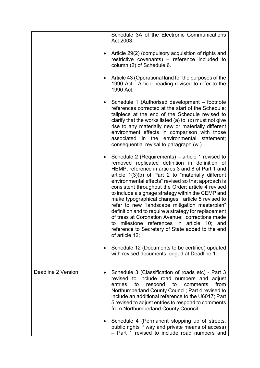|                    | Schedule 3A of the Electronic Communications<br>Act 2003.                                                                                                                                                                                                                                                                                                                                                                                                                                                                                                                                                                                                                                                                    |
|--------------------|------------------------------------------------------------------------------------------------------------------------------------------------------------------------------------------------------------------------------------------------------------------------------------------------------------------------------------------------------------------------------------------------------------------------------------------------------------------------------------------------------------------------------------------------------------------------------------------------------------------------------------------------------------------------------------------------------------------------------|
|                    | Article 29(2) (compulsory acquisition of rights and<br>restrictive covenants) - reference included to<br>column (2) of Schedule 6.                                                                                                                                                                                                                                                                                                                                                                                                                                                                                                                                                                                           |
|                    | Article 43 (Operational land for the purposes of the<br>1990 Act - Article heading revised to refer to the<br>1990 Act.                                                                                                                                                                                                                                                                                                                                                                                                                                                                                                                                                                                                      |
|                    | Schedule 1 (Authorised development – footnote<br>references corrected at the start of the Schedule;<br>tailpiece at the end of the Schedule revised to<br>clarify that the works listed (a) to $(x)$ must not give<br>rise to any materially new or materially different<br>environment effects in comparison with those<br>associated in the environmental statement;<br>consequential revisal to paragraph (w.)                                                                                                                                                                                                                                                                                                            |
|                    | Schedule 2 (Requirements) – article 1 revised to<br>removed replicated definition in definition of<br>HEMP; reference in articles 3 and 8 of Part 1 and<br>article 1(3)(b) of Part 2 to "materially different<br>environmental effects" revised so that approach is<br>consistent throughout the Order; article 4 revised<br>to include a signage strategy within the CEMP and<br>make typographical changes; article 5 revised to<br>refer to new "landscape mitigation masterplan"<br>definition and to require a strategy for replacement<br>of tress at Coronation Avenue; corrections made<br>milestone references in article<br>10;<br>to<br>and<br>reference to Secretary of State added to the end<br>of article 12; |
|                    | Schedule 12 (Documents to be certified) updated<br>with revised documents lodged at Deadline 1.                                                                                                                                                                                                                                                                                                                                                                                                                                                                                                                                                                                                                              |
| Deadline 2 Version | Schedule 3 (Classification of roads etc) - Part 3<br>revised to include road numbers and adjust<br>from<br>entries<br>respond<br>to<br>comments<br>to<br>Northumberland County Council; Part 4 revised to<br>include an additional reference to the U6017; Part<br>5 revised to adjust entries to respond to comments<br>from Northumberland County Council.                                                                                                                                                                                                                                                                                                                                                                 |
|                    | Schedule 4 (Permanent stopping up of streets,<br>public rights if way and private means of access)<br>- Part 1 revised to include road numbers and                                                                                                                                                                                                                                                                                                                                                                                                                                                                                                                                                                           |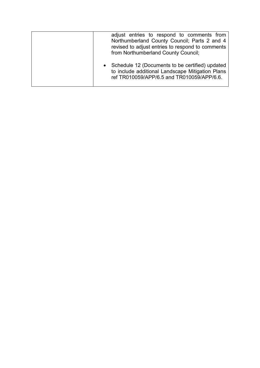| adjust entries to respond to comments from<br>Northumberland County Council; Parts 2 and 4<br>revised to adjust entries to respond to comments<br>from Northumberland County Council; |
|---------------------------------------------------------------------------------------------------------------------------------------------------------------------------------------|
| • Schedule 12 (Documents to be certified) updated<br>to include additional Landscape Mitigation Plans<br>ref TR010059/APP/6.5 and TR010059/APP/6.6.                                   |